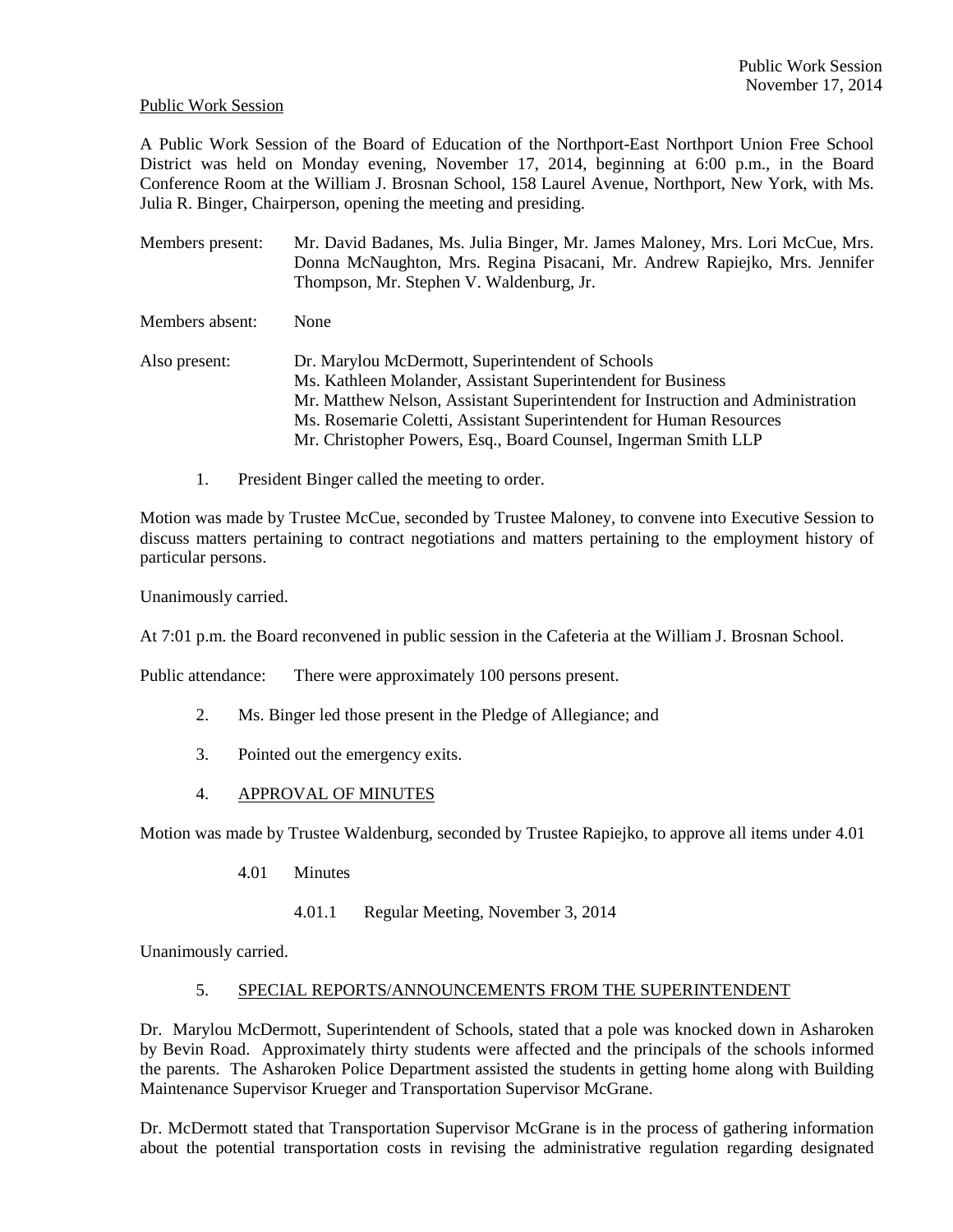#### Public Work Session

A Public Work Session of the Board of Education of the Northport-East Northport Union Free School District was held on Monday evening, November 17, 2014, beginning at 6:00 p.m., in the Board Conference Room at the William J. Brosnan School, 158 Laurel Avenue, Northport, New York, with Ms. Julia R. Binger, Chairperson, opening the meeting and presiding.

- Members present: Mr. David Badanes, Ms. Julia Binger, Mr. James Maloney, Mrs. Lori McCue, Mrs. Donna McNaughton, Mrs. Regina Pisacani, Mr. Andrew Rapiejko, Mrs. Jennifer Thompson, Mr. Stephen V. Waldenburg, Jr.
- Members absent: None
- Also present: Dr. Marylou McDermott, Superintendent of Schools Ms. Kathleen Molander, Assistant Superintendent for Business Mr. Matthew Nelson, Assistant Superintendent for Instruction and Administration Ms. Rosemarie Coletti, Assistant Superintendent for Human Resources Mr. Christopher Powers, Esq., Board Counsel, Ingerman Smith LLP
	- 1. President Binger called the meeting to order.

Motion was made by Trustee McCue, seconded by Trustee Maloney, to convene into Executive Session to discuss matters pertaining to contract negotiations and matters pertaining to the employment history of particular persons.

Unanimously carried.

At 7:01 p.m. the Board reconvened in public session in the Cafeteria at the William J. Brosnan School.

Public attendance: There were approximately 100 persons present.

- 2. Ms. Binger led those present in the Pledge of Allegiance; and
- 3. Pointed out the emergency exits.
- 4. APPROVAL OF MINUTES

Motion was made by Trustee Waldenburg, seconded by Trustee Rapiejko, to approve all items under 4.01

- 4.01 Minutes
	- 4.01.1 Regular Meeting, November 3, 2014

Unanimously carried.

#### 5. SPECIAL REPORTS/ANNOUNCEMENTS FROM THE SUPERINTENDENT

Dr. Marylou McDermott, Superintendent of Schools, stated that a pole was knocked down in Asharoken by Bevin Road. Approximately thirty students were affected and the principals of the schools informed the parents. The Asharoken Police Department assisted the students in getting home along with Building Maintenance Supervisor Krueger and Transportation Supervisor McGrane.

Dr. McDermott stated that Transportation Supervisor McGrane is in the process of gathering information about the potential transportation costs in revising the administrative regulation regarding designated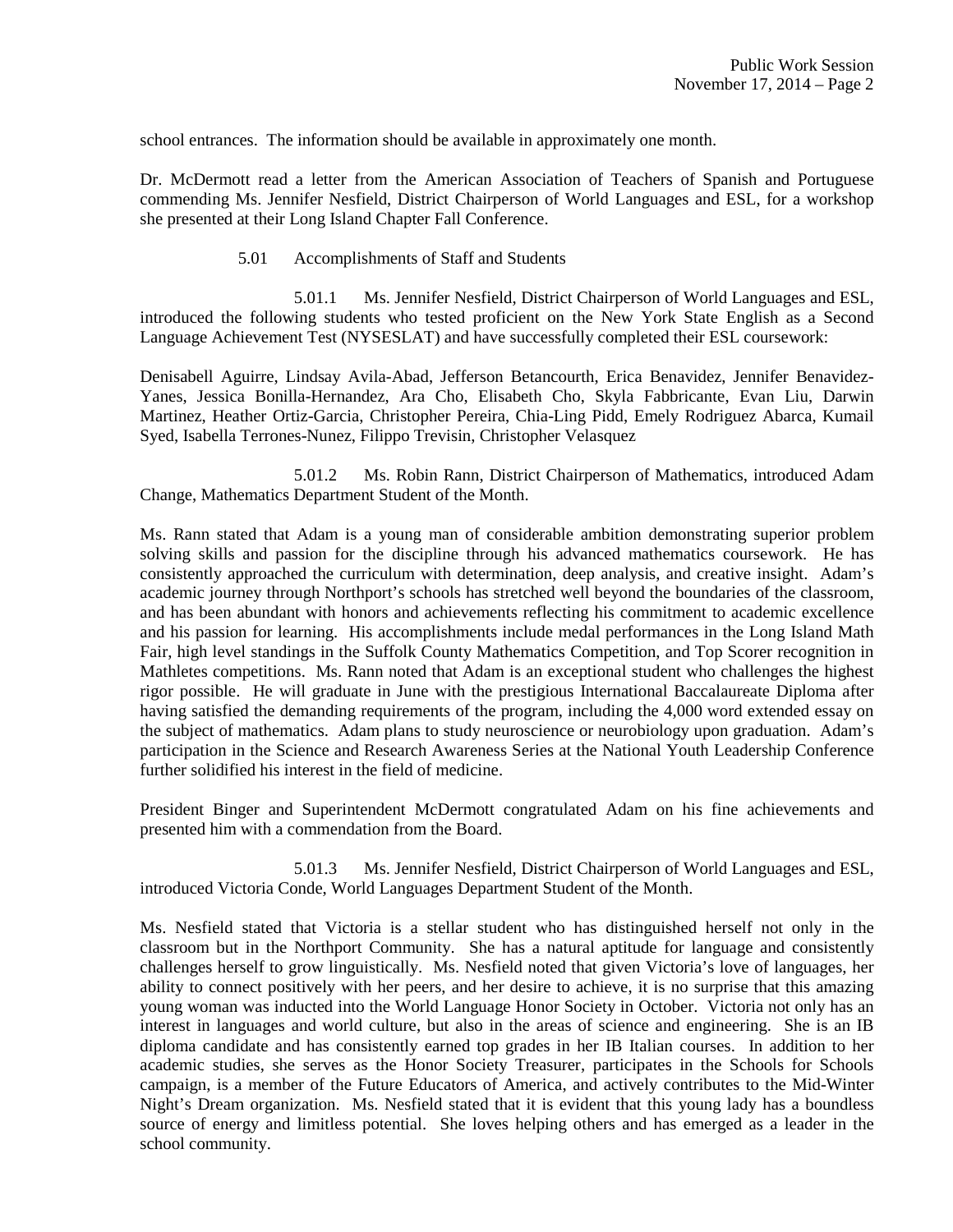school entrances. The information should be available in approximately one month.

Dr. McDermott read a letter from the American Association of Teachers of Spanish and Portuguese commending Ms. Jennifer Nesfield, District Chairperson of World Languages and ESL, for a workshop she presented at their Long Island Chapter Fall Conference.

5.01 Accomplishments of Staff and Students

 5.01.1 Ms. Jennifer Nesfield, District Chairperson of World Languages and ESL, introduced the following students who tested proficient on the New York State English as a Second Language Achievement Test (NYSESLAT) and have successfully completed their ESL coursework:

Denisabell Aguirre, Lindsay Avila-Abad, Jefferson Betancourth, Erica Benavidez, Jennifer Benavidez-Yanes, Jessica Bonilla-Hernandez, Ara Cho, Elisabeth Cho, Skyla Fabbricante, Evan Liu, Darwin Martinez, Heather Ortiz-Garcia, Christopher Pereira, Chia-Ling Pidd, Emely Rodriguez Abarca, Kumail Syed, Isabella Terrones-Nunez, Filippo Trevisin, Christopher Velasquez

 5.01.2 Ms. Robin Rann, District Chairperson of Mathematics, introduced Adam Change, Mathematics Department Student of the Month.

Ms. Rann stated that Adam is a young man of considerable ambition demonstrating superior problem solving skills and passion for the discipline through his advanced mathematics coursework. He has consistently approached the curriculum with determination, deep analysis, and creative insight. Adam's academic journey through Northport's schools has stretched well beyond the boundaries of the classroom, and has been abundant with honors and achievements reflecting his commitment to academic excellence and his passion for learning. His accomplishments include medal performances in the Long Island Math Fair, high level standings in the Suffolk County Mathematics Competition, and Top Scorer recognition in Mathletes competitions. Ms. Rann noted that Adam is an exceptional student who challenges the highest rigor possible. He will graduate in June with the prestigious International Baccalaureate Diploma after having satisfied the demanding requirements of the program, including the 4,000 word extended essay on the subject of mathematics. Adam plans to study neuroscience or neurobiology upon graduation. Adam's participation in the Science and Research Awareness Series at the National Youth Leadership Conference further solidified his interest in the field of medicine.

President Binger and Superintendent McDermott congratulated Adam on his fine achievements and presented him with a commendation from the Board.

 5.01.3 Ms. Jennifer Nesfield, District Chairperson of World Languages and ESL, introduced Victoria Conde, World Languages Department Student of the Month.

Ms. Nesfield stated that Victoria is a stellar student who has distinguished herself not only in the classroom but in the Northport Community. She has a natural aptitude for language and consistently challenges herself to grow linguistically. Ms. Nesfield noted that given Victoria's love of languages, her ability to connect positively with her peers, and her desire to achieve, it is no surprise that this amazing young woman was inducted into the World Language Honor Society in October. Victoria not only has an interest in languages and world culture, but also in the areas of science and engineering. She is an IB diploma candidate and has consistently earned top grades in her IB Italian courses. In addition to her academic studies, she serves as the Honor Society Treasurer, participates in the Schools for Schools campaign, is a member of the Future Educators of America, and actively contributes to the Mid-Winter Night's Dream organization. Ms. Nesfield stated that it is evident that this young lady has a boundless source of energy and limitless potential. She loves helping others and has emerged as a leader in the school community.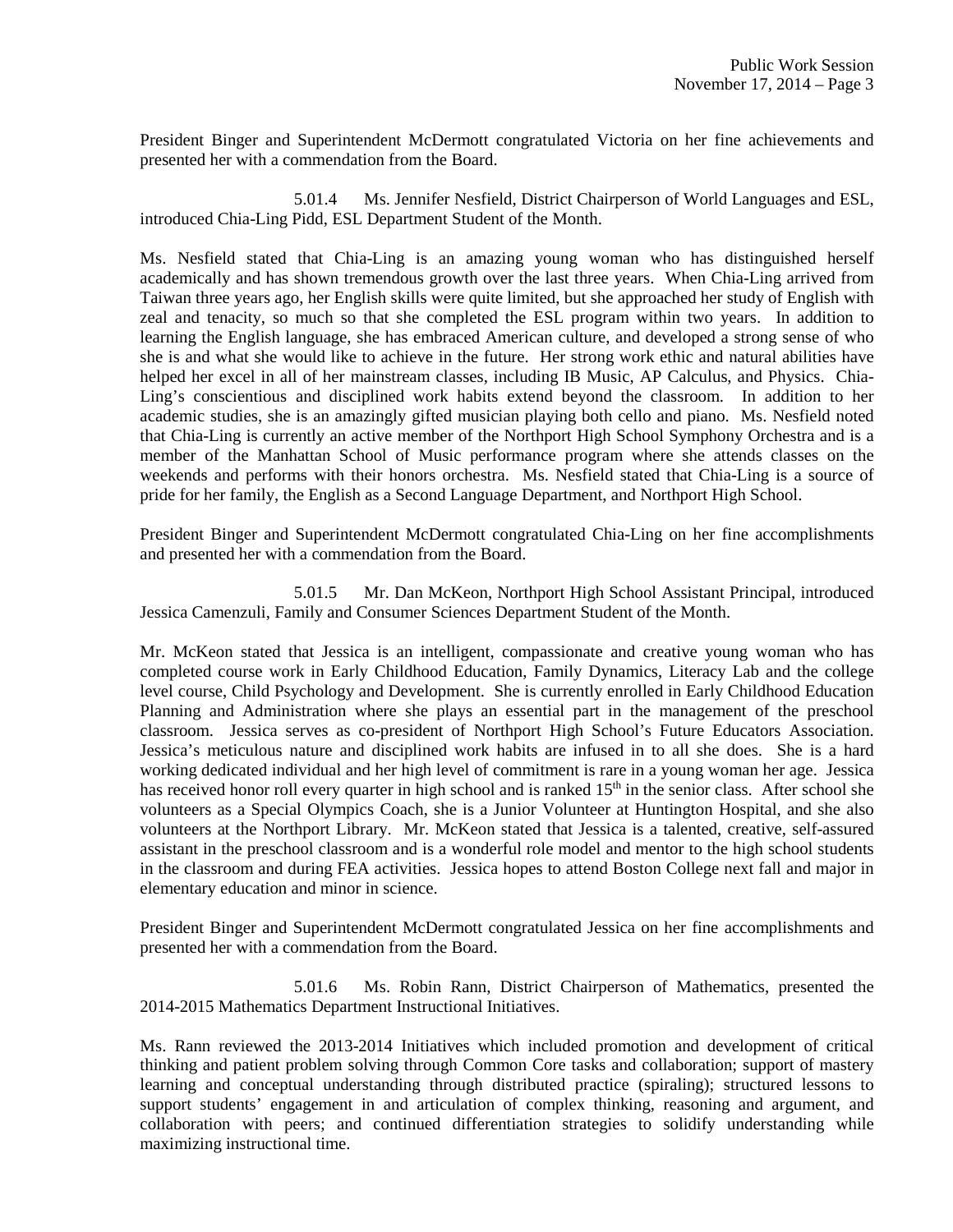President Binger and Superintendent McDermott congratulated Victoria on her fine achievements and presented her with a commendation from the Board.

 5.01.4 Ms. Jennifer Nesfield, District Chairperson of World Languages and ESL, introduced Chia-Ling Pidd, ESL Department Student of the Month.

Ms. Nesfield stated that Chia-Ling is an amazing young woman who has distinguished herself academically and has shown tremendous growth over the last three years. When Chia-Ling arrived from Taiwan three years ago, her English skills were quite limited, but she approached her study of English with zeal and tenacity, so much so that she completed the ESL program within two years. In addition to learning the English language, she has embraced American culture, and developed a strong sense of who she is and what she would like to achieve in the future. Her strong work ethic and natural abilities have helped her excel in all of her mainstream classes, including IB Music, AP Calculus, and Physics. Chia-Ling's conscientious and disciplined work habits extend beyond the classroom. In addition to her academic studies, she is an amazingly gifted musician playing both cello and piano. Ms. Nesfield noted that Chia-Ling is currently an active member of the Northport High School Symphony Orchestra and is a member of the Manhattan School of Music performance program where she attends classes on the weekends and performs with their honors orchestra. Ms. Nesfield stated that Chia-Ling is a source of pride for her family, the English as a Second Language Department, and Northport High School.

President Binger and Superintendent McDermott congratulated Chia-Ling on her fine accomplishments and presented her with a commendation from the Board.

 5.01.5 Mr. Dan McKeon, Northport High School Assistant Principal, introduced Jessica Camenzuli, Family and Consumer Sciences Department Student of the Month.

Mr. McKeon stated that Jessica is an intelligent, compassionate and creative young woman who has completed course work in Early Childhood Education, Family Dynamics, Literacy Lab and the college level course, Child Psychology and Development. She is currently enrolled in Early Childhood Education Planning and Administration where she plays an essential part in the management of the preschool classroom. Jessica serves as co-president of Northport High School's Future Educators Association. Jessica's meticulous nature and disciplined work habits are infused in to all she does. She is a hard working dedicated individual and her high level of commitment is rare in a young woman her age. Jessica has received honor roll every quarter in high school and is ranked 15<sup>th</sup> in the senior class. After school she volunteers as a Special Olympics Coach, she is a Junior Volunteer at Huntington Hospital, and she also volunteers at the Northport Library. Mr. McKeon stated that Jessica is a talented, creative, self-assured assistant in the preschool classroom and is a wonderful role model and mentor to the high school students in the classroom and during FEA activities. Jessica hopes to attend Boston College next fall and major in elementary education and minor in science.

President Binger and Superintendent McDermott congratulated Jessica on her fine accomplishments and presented her with a commendation from the Board.

 5.01.6 Ms. Robin Rann, District Chairperson of Mathematics, presented the 2014-2015 Mathematics Department Instructional Initiatives.

Ms. Rann reviewed the 2013-2014 Initiatives which included promotion and development of critical thinking and patient problem solving through Common Core tasks and collaboration; support of mastery learning and conceptual understanding through distributed practice (spiraling); structured lessons to support students' engagement in and articulation of complex thinking, reasoning and argument, and collaboration with peers; and continued differentiation strategies to solidify understanding while maximizing instructional time.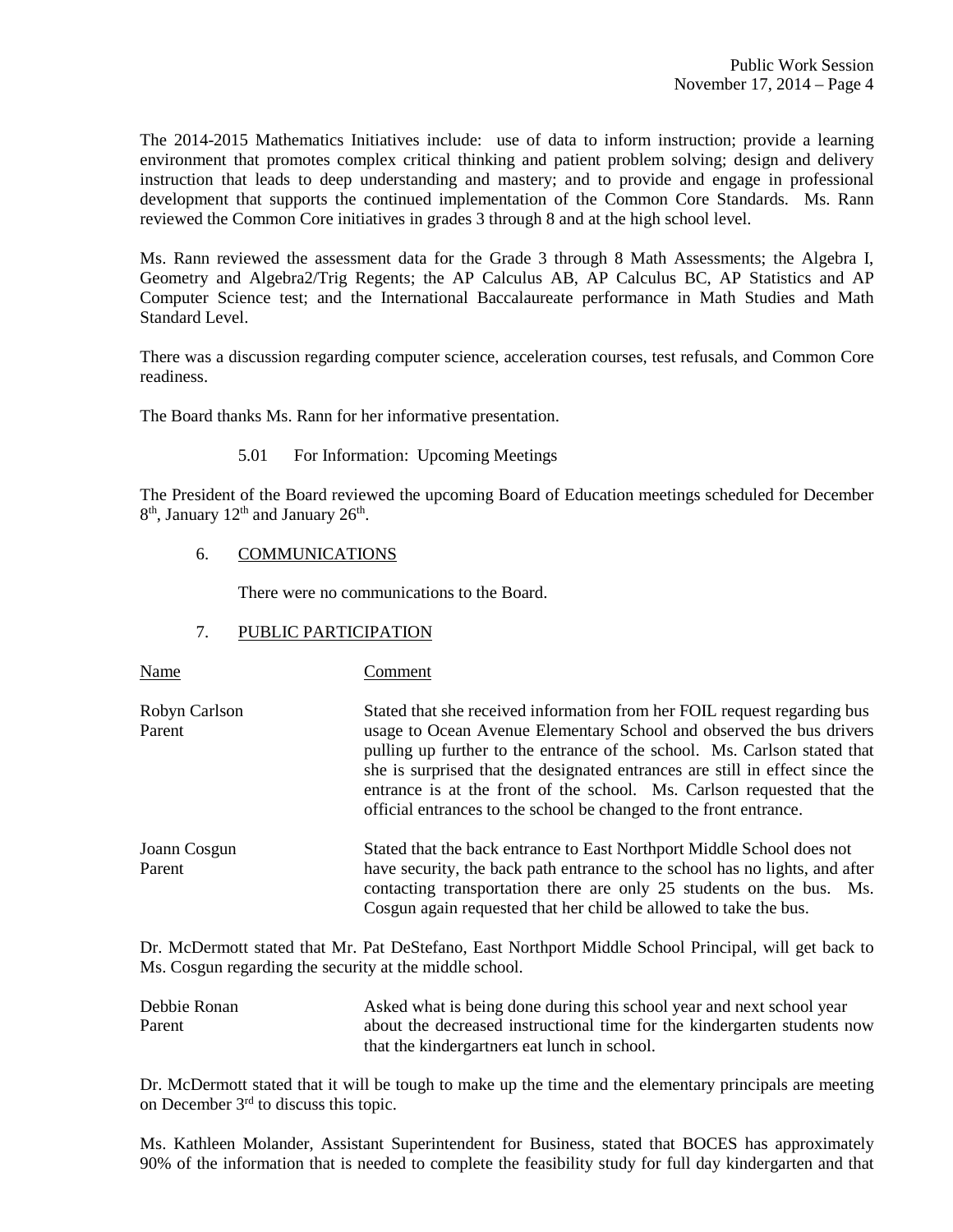The 2014-2015 Mathematics Initiatives include: use of data to inform instruction; provide a learning environment that promotes complex critical thinking and patient problem solving; design and delivery instruction that leads to deep understanding and mastery; and to provide and engage in professional development that supports the continued implementation of the Common Core Standards. Ms. Rann reviewed the Common Core initiatives in grades 3 through 8 and at the high school level.

Ms. Rann reviewed the assessment data for the Grade 3 through 8 Math Assessments; the Algebra I, Geometry and Algebra2/Trig Regents; the AP Calculus AB, AP Calculus BC, AP Statistics and AP Computer Science test; and the International Baccalaureate performance in Math Studies and Math Standard Level.

There was a discussion regarding computer science, acceleration courses, test refusals, and Common Core readiness.

The Board thanks Ms. Rann for her informative presentation.

5.01 For Information: Upcoming Meetings

The President of the Board reviewed the upcoming Board of Education meetings scheduled for December 8<sup>th</sup>, January 12<sup>th</sup> and January 26<sup>th</sup>.

### 6. COMMUNICATIONS

There were no communications to the Board.

# 7. PUBLIC PARTICIPATION

| Name                    | Comment                                                                                                                                                                                                                                                                                                                                                                                                                                                       |
|-------------------------|---------------------------------------------------------------------------------------------------------------------------------------------------------------------------------------------------------------------------------------------------------------------------------------------------------------------------------------------------------------------------------------------------------------------------------------------------------------|
| Robyn Carlson<br>Parent | Stated that she received information from her FOIL request regarding bus<br>usage to Ocean Avenue Elementary School and observed the bus drivers<br>pulling up further to the entrance of the school. Ms. Carlson stated that<br>she is surprised that the designated entrances are still in effect since the<br>entrance is at the front of the school. Ms. Carlson requested that the<br>official entrances to the school be changed to the front entrance. |
| Joann Cosgun<br>Parent  | Stated that the back entrance to East Northport Middle School does not<br>have security, the back path entrance to the school has no lights, and after<br>contacting transportation there are only 25 students on the bus. Ms.<br>Cosgun again requested that her child be allowed to take the bus.                                                                                                                                                           |

Dr. McDermott stated that Mr. Pat DeStefano, East Northport Middle School Principal, will get back to Ms. Cosgun regarding the security at the middle school.

| Debbie Ronan | Asked what is being done during this school year and next school year    |
|--------------|--------------------------------------------------------------------------|
| Parent       | about the decreased instructional time for the kindergarten students now |
|              | that the kindergartners eat lunch in school.                             |

Dr. McDermott stated that it will be tough to make up the time and the elementary principals are meeting on December 3rd to discuss this topic.

Ms. Kathleen Molander, Assistant Superintendent for Business, stated that BOCES has approximately 90% of the information that is needed to complete the feasibility study for full day kindergarten and that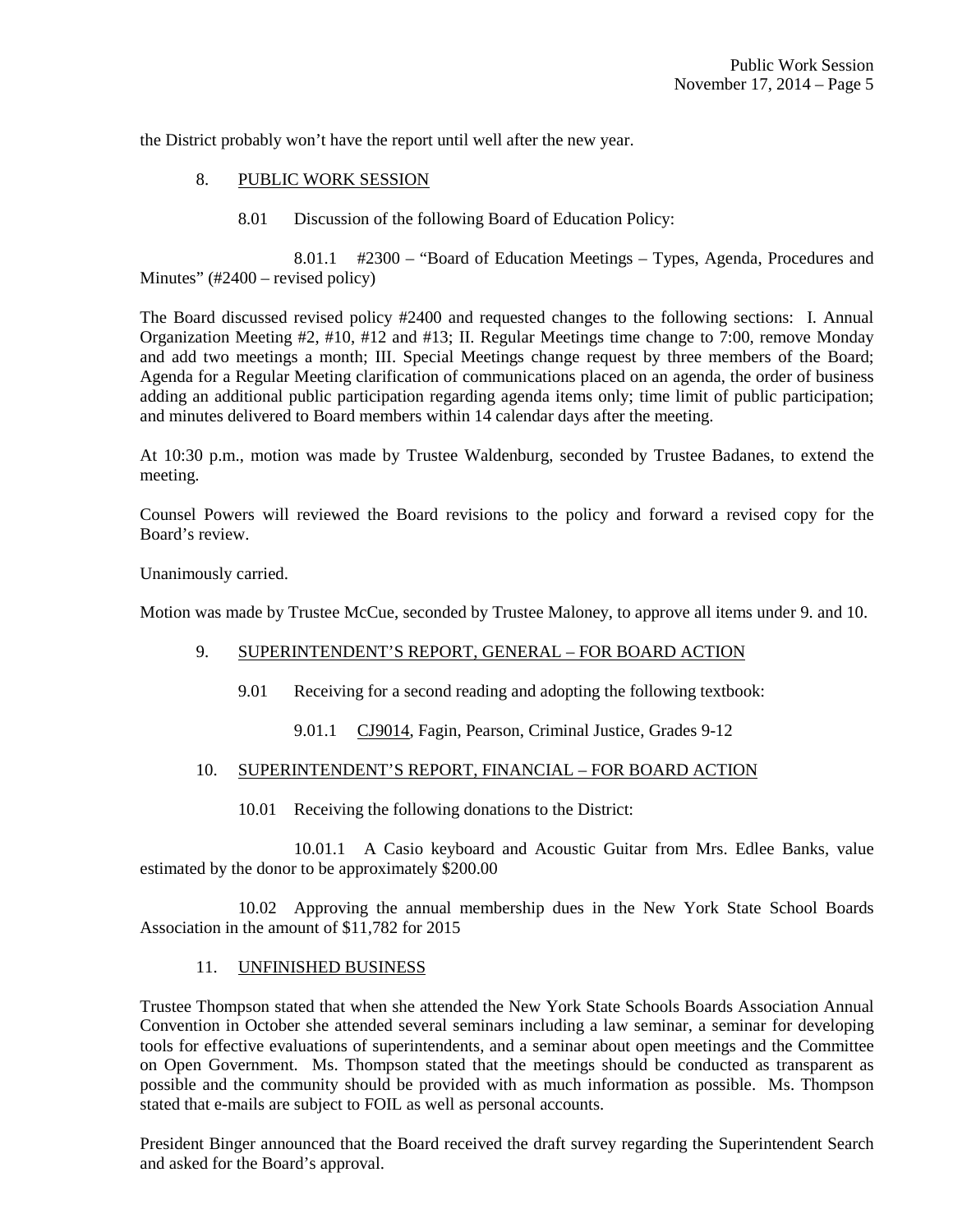the District probably won't have the report until well after the new year.

# 8. PUBLIC WORK SESSION

8.01 Discussion of the following Board of Education Policy:

 8.01.1 #2300 – "Board of Education Meetings – Types, Agenda, Procedures and Minutes" (#2400 – revised policy)

The Board discussed revised policy #2400 and requested changes to the following sections: I. Annual Organization Meeting #2, #10, #12 and #13; II. Regular Meetings time change to 7:00, remove Monday and add two meetings a month; III. Special Meetings change request by three members of the Board; Agenda for a Regular Meeting clarification of communications placed on an agenda, the order of business adding an additional public participation regarding agenda items only; time limit of public participation; and minutes delivered to Board members within 14 calendar days after the meeting.

At 10:30 p.m., motion was made by Trustee Waldenburg, seconded by Trustee Badanes, to extend the meeting.

Counsel Powers will reviewed the Board revisions to the policy and forward a revised copy for the Board's review.

Unanimously carried.

Motion was made by Trustee McCue, seconded by Trustee Maloney, to approve all items under 9. and 10.

#### 9. SUPERINTENDENT'S REPORT, GENERAL – FOR BOARD ACTION

- 9.01 Receiving for a second reading and adopting the following textbook:
	- 9.01.1 CJ9014, Fagin, Pearson, Criminal Justice, Grades 9-12

## 10. SUPERINTENDENT'S REPORT, FINANCIAL – FOR BOARD ACTION

10.01 Receiving the following donations to the District:

 10.01.1 A Casio keyboard and Acoustic Guitar from Mrs. Edlee Banks, value estimated by the donor to be approximately \$200.00

 10.02 Approving the annual membership dues in the New York State School Boards Association in the amount of \$11,782 for 2015

#### 11. UNFINISHED BUSINESS

Trustee Thompson stated that when she attended the New York State Schools Boards Association Annual Convention in October she attended several seminars including a law seminar, a seminar for developing tools for effective evaluations of superintendents, and a seminar about open meetings and the Committee on Open Government. Ms. Thompson stated that the meetings should be conducted as transparent as possible and the community should be provided with as much information as possible. Ms. Thompson stated that e-mails are subject to FOIL as well as personal accounts.

President Binger announced that the Board received the draft survey regarding the Superintendent Search and asked for the Board's approval.